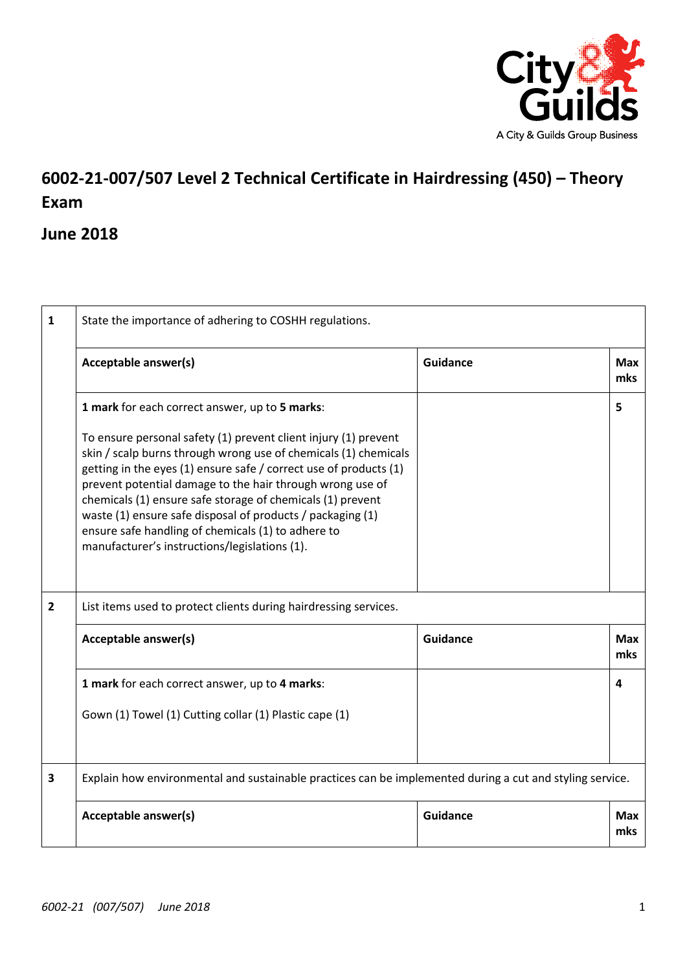

## **6002-21-007/507 Level 2 Technical Certificate in Hairdressing (450) – Theory Exam**

## **June 2018**

| 1              | State the importance of adhering to COSHH regulations.                                                                                                                                                                                                                                                                                                                                                                                                                                                  |                 |                   |
|----------------|---------------------------------------------------------------------------------------------------------------------------------------------------------------------------------------------------------------------------------------------------------------------------------------------------------------------------------------------------------------------------------------------------------------------------------------------------------------------------------------------------------|-----------------|-------------------|
|                | Acceptable answer(s)                                                                                                                                                                                                                                                                                                                                                                                                                                                                                    | <b>Guidance</b> | <b>Max</b><br>mks |
|                | 1 mark for each correct answer, up to 5 marks:                                                                                                                                                                                                                                                                                                                                                                                                                                                          |                 | 5                 |
|                | To ensure personal safety (1) prevent client injury (1) prevent<br>skin / scalp burns through wrong use of chemicals (1) chemicals<br>getting in the eyes (1) ensure safe / correct use of products (1)<br>prevent potential damage to the hair through wrong use of<br>chemicals (1) ensure safe storage of chemicals (1) prevent<br>waste (1) ensure safe disposal of products / packaging (1)<br>ensure safe handling of chemicals (1) to adhere to<br>manufacturer's instructions/legislations (1). |                 |                   |
| $\overline{2}$ | List items used to protect clients during hairdressing services.                                                                                                                                                                                                                                                                                                                                                                                                                                        |                 |                   |
|                | Acceptable answer(s)                                                                                                                                                                                                                                                                                                                                                                                                                                                                                    | <b>Guidance</b> | <b>Max</b><br>mks |
|                | 1 mark for each correct answer, up to 4 marks:                                                                                                                                                                                                                                                                                                                                                                                                                                                          |                 | 4                 |
|                | Gown (1) Towel (1) Cutting collar (1) Plastic cape (1)                                                                                                                                                                                                                                                                                                                                                                                                                                                  |                 |                   |
| 3              | Explain how environmental and sustainable practices can be implemented during a cut and styling service.                                                                                                                                                                                                                                                                                                                                                                                                |                 |                   |
|                | Acceptable answer(s)                                                                                                                                                                                                                                                                                                                                                                                                                                                                                    | <b>Guidance</b> | <b>Max</b><br>mks |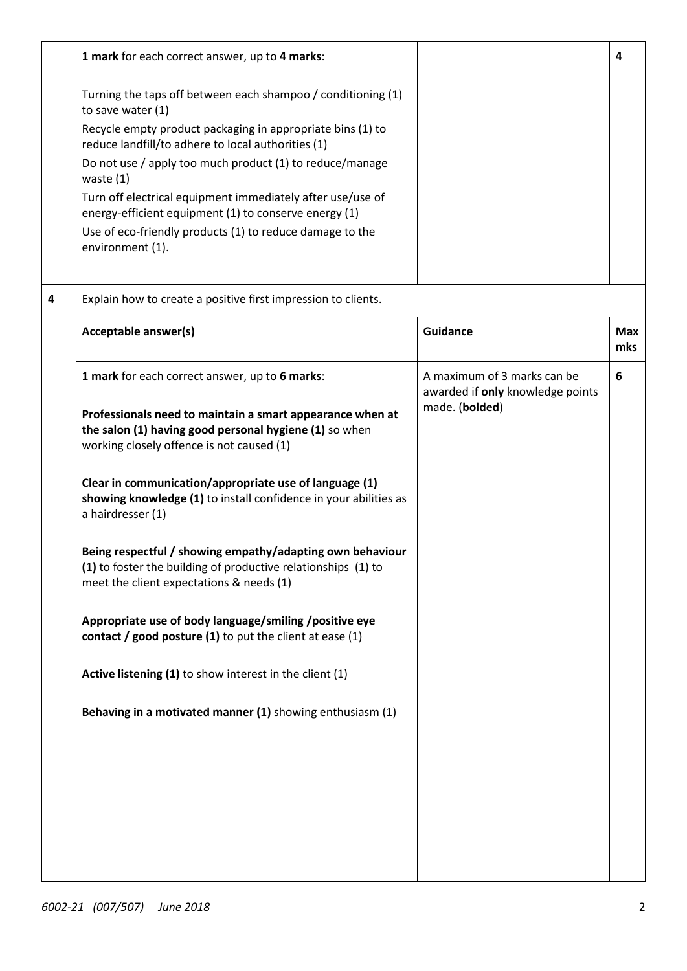|   | 1 mark for each correct answer, up to 4 marks:                                                                                                                         |                                                                 | 4                 |
|---|------------------------------------------------------------------------------------------------------------------------------------------------------------------------|-----------------------------------------------------------------|-------------------|
|   | Turning the taps off between each shampoo / conditioning (1)<br>to save water (1)                                                                                      |                                                                 |                   |
|   | Recycle empty product packaging in appropriate bins (1) to<br>reduce landfill/to adhere to local authorities (1)                                                       |                                                                 |                   |
|   | Do not use / apply too much product (1) to reduce/manage<br>waste $(1)$                                                                                                |                                                                 |                   |
|   | Turn off electrical equipment immediately after use/use of<br>energy-efficient equipment (1) to conserve energy (1)                                                    |                                                                 |                   |
|   | Use of eco-friendly products (1) to reduce damage to the<br>environment (1).                                                                                           |                                                                 |                   |
| 4 | Explain how to create a positive first impression to clients.                                                                                                          |                                                                 |                   |
|   | Acceptable answer(s)                                                                                                                                                   | Guidance                                                        | <b>Max</b><br>mks |
|   | 1 mark for each correct answer, up to 6 marks:                                                                                                                         | A maximum of 3 marks can be<br>awarded if only knowledge points | 6                 |
|   | Professionals need to maintain a smart appearance when at<br>the salon (1) having good personal hygiene (1) so when<br>working closely offence is not caused (1)       | made. (bolded)                                                  |                   |
|   | Clear in communication/appropriate use of language (1)<br>showing knowledge (1) to install confidence in your abilities as<br>a hairdresser (1)                        |                                                                 |                   |
|   | Being respectful / showing empathy/adapting own behaviour<br>(1) to foster the building of productive relationships (1) to<br>meet the client expectations & needs (1) |                                                                 |                   |
|   | Appropriate use of body language/smiling/positive eye<br>contact / good posture (1) to put the client at ease (1)                                                      |                                                                 |                   |
|   | Active listening (1) to show interest in the client (1)                                                                                                                |                                                                 |                   |
|   | Behaving in a motivated manner (1) showing enthusiasm (1)                                                                                                              |                                                                 |                   |
|   |                                                                                                                                                                        |                                                                 |                   |
|   |                                                                                                                                                                        |                                                                 |                   |
|   |                                                                                                                                                                        |                                                                 |                   |
|   |                                                                                                                                                                        |                                                                 |                   |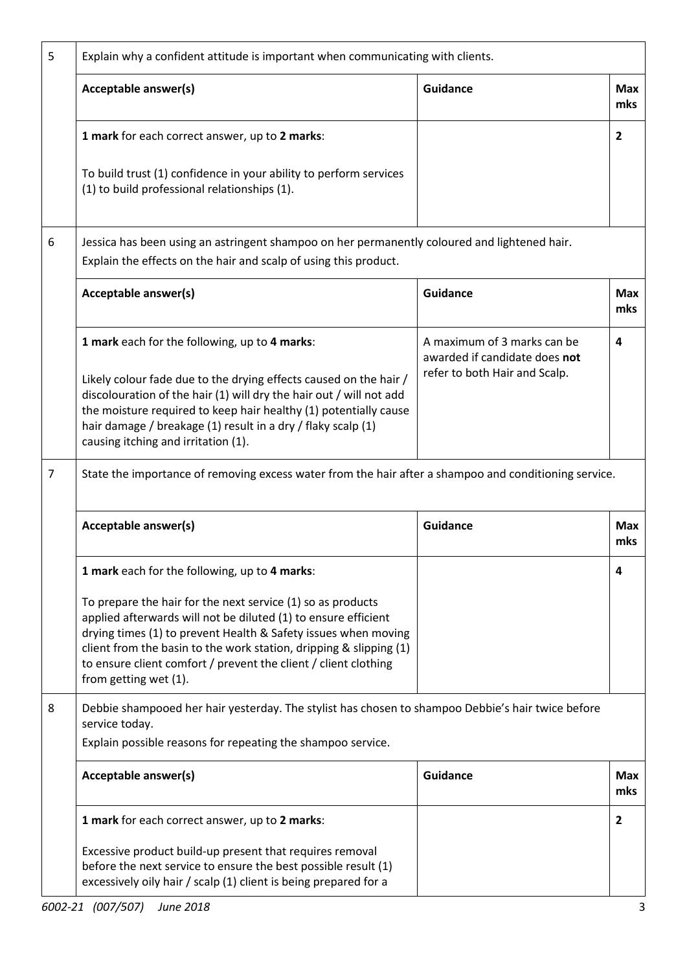| 5 | Explain why a confident attitude is important when communicating with clients.                                                                                                                                                                                                                                                                                       |                                                                                               |                   |
|---|----------------------------------------------------------------------------------------------------------------------------------------------------------------------------------------------------------------------------------------------------------------------------------------------------------------------------------------------------------------------|-----------------------------------------------------------------------------------------------|-------------------|
|   | Acceptable answer(s)                                                                                                                                                                                                                                                                                                                                                 | <b>Guidance</b>                                                                               | <b>Max</b><br>mks |
|   | 1 mark for each correct answer, up to 2 marks:                                                                                                                                                                                                                                                                                                                       |                                                                                               | $\overline{2}$    |
|   | To build trust (1) confidence in your ability to perform services<br>(1) to build professional relationships (1).                                                                                                                                                                                                                                                    |                                                                                               |                   |
| 6 | Jessica has been using an astringent shampoo on her permanently coloured and lightened hair.<br>Explain the effects on the hair and scalp of using this product.                                                                                                                                                                                                     |                                                                                               |                   |
|   | Acceptable answer(s)                                                                                                                                                                                                                                                                                                                                                 | Guidance                                                                                      | <b>Max</b><br>mks |
|   | 1 mark each for the following, up to 4 marks:<br>Likely colour fade due to the drying effects caused on the hair /<br>discolouration of the hair (1) will dry the hair out / will not add<br>the moisture required to keep hair healthy (1) potentially cause<br>hair damage / breakage (1) result in a dry / flaky scalp (1)<br>causing itching and irritation (1). | A maximum of 3 marks can be<br>awarded if candidate does not<br>refer to both Hair and Scalp. | 4                 |
| 7 | State the importance of removing excess water from the hair after a shampoo and conditioning service.                                                                                                                                                                                                                                                                |                                                                                               |                   |
|   | Acceptable answer(s)                                                                                                                                                                                                                                                                                                                                                 | <b>Guidance</b>                                                                               | <b>Max</b><br>mks |
|   | 1 mark each for the following, up to 4 marks:                                                                                                                                                                                                                                                                                                                        |                                                                                               | 4                 |
|   | To prepare the hair for the next service (1) so as products<br>applied afterwards will not be diluted (1) to ensure efficient<br>drying times (1) to prevent Health & Safety issues when moving<br>client from the basin to the work station, dripping & slipping (1)<br>to ensure client comfort / prevent the client / client clothing<br>from getting wet (1).    |                                                                                               |                   |
| 8 | Debbie shampooed her hair yesterday. The stylist has chosen to shampoo Debbie's hair twice before<br>service today.<br>Explain possible reasons for repeating the shampoo service.                                                                                                                                                                                   |                                                                                               |                   |
|   | Acceptable answer(s)                                                                                                                                                                                                                                                                                                                                                 | <b>Guidance</b>                                                                               | <b>Max</b><br>mks |
|   | 1 mark for each correct answer, up to 2 marks:                                                                                                                                                                                                                                                                                                                       |                                                                                               | $\overline{2}$    |
|   | Excessive product build-up present that requires removal<br>before the next service to ensure the best possible result (1)<br>excessively oily hair / scalp (1) client is being prepared for a                                                                                                                                                                       |                                                                                               |                   |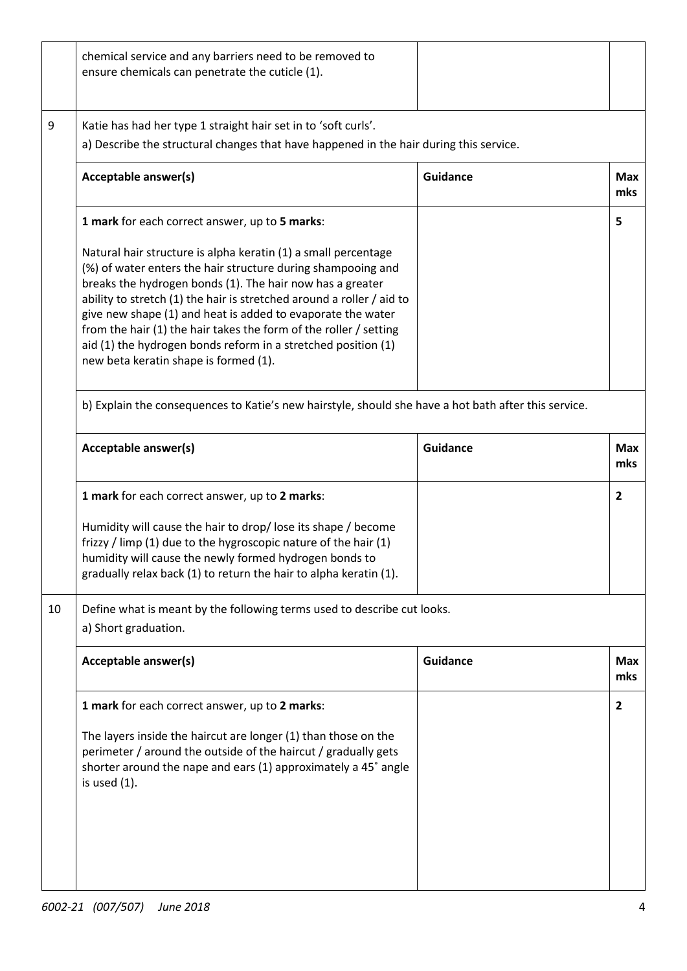|    | chemical service and any barriers need to be removed to<br>ensure chemicals can penetrate the cuticle (1).                                                                                                                                                                                                                                                                                                                                                                                                         |                 |                   |
|----|--------------------------------------------------------------------------------------------------------------------------------------------------------------------------------------------------------------------------------------------------------------------------------------------------------------------------------------------------------------------------------------------------------------------------------------------------------------------------------------------------------------------|-----------------|-------------------|
| 9  | Katie has had her type 1 straight hair set in to 'soft curls'.<br>a) Describe the structural changes that have happened in the hair during this service.                                                                                                                                                                                                                                                                                                                                                           |                 |                   |
|    | Acceptable answer(s)                                                                                                                                                                                                                                                                                                                                                                                                                                                                                               | Guidance        | <b>Max</b><br>mks |
|    | 1 mark for each correct answer, up to 5 marks:                                                                                                                                                                                                                                                                                                                                                                                                                                                                     |                 | 5                 |
|    | Natural hair structure is alpha keratin (1) a small percentage<br>(%) of water enters the hair structure during shampooing and<br>breaks the hydrogen bonds (1). The hair now has a greater<br>ability to stretch (1) the hair is stretched around a roller / aid to<br>give new shape (1) and heat is added to evaporate the water<br>from the hair (1) the hair takes the form of the roller / setting<br>aid (1) the hydrogen bonds reform in a stretched position (1)<br>new beta keratin shape is formed (1). |                 |                   |
|    | b) Explain the consequences to Katie's new hairstyle, should she have a hot bath after this service.                                                                                                                                                                                                                                                                                                                                                                                                               |                 |                   |
|    | Acceptable answer(s)                                                                                                                                                                                                                                                                                                                                                                                                                                                                                               | <b>Guidance</b> | <b>Max</b><br>mks |
|    | 1 mark for each correct answer, up to 2 marks:                                                                                                                                                                                                                                                                                                                                                                                                                                                                     |                 | $\overline{2}$    |
|    | Humidity will cause the hair to drop/lose its shape / become<br>frizzy / limp (1) due to the hygroscopic nature of the hair (1)<br>humidity will cause the newly formed hydrogen bonds to<br>gradually relax back (1) to return the hair to alpha keratin (1).                                                                                                                                                                                                                                                     |                 |                   |
| 10 | Define what is meant by the following terms used to describe cut looks.<br>a) Short graduation.                                                                                                                                                                                                                                                                                                                                                                                                                    |                 |                   |
|    | Acceptable answer(s)                                                                                                                                                                                                                                                                                                                                                                                                                                                                                               | <b>Guidance</b> | <b>Max</b><br>mks |
|    | 1 mark for each correct answer, up to 2 marks:                                                                                                                                                                                                                                                                                                                                                                                                                                                                     |                 | $\overline{2}$    |
|    | The layers inside the haircut are longer (1) than those on the<br>perimeter / around the outside of the haircut / gradually gets<br>shorter around the nape and ears (1) approximately a 45° angle<br>is used $(1)$ .                                                                                                                                                                                                                                                                                              |                 |                   |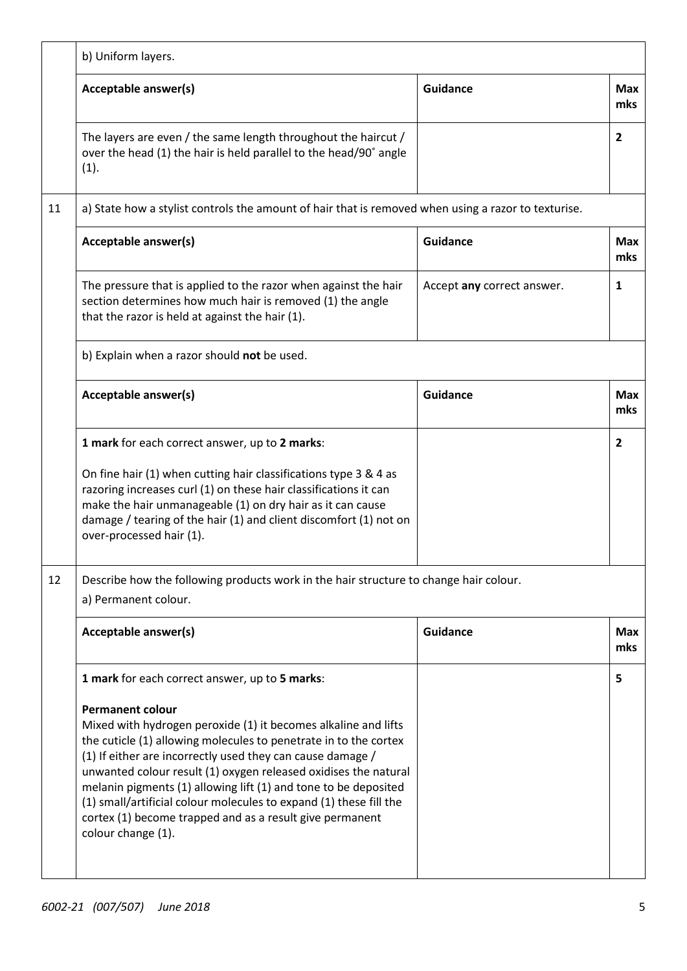|    | b) Uniform layers.                                                                                                                                                                                                                                                                                                                                                                                                                                                                                                        |                            |                   |
|----|---------------------------------------------------------------------------------------------------------------------------------------------------------------------------------------------------------------------------------------------------------------------------------------------------------------------------------------------------------------------------------------------------------------------------------------------------------------------------------------------------------------------------|----------------------------|-------------------|
|    | Acceptable answer(s)                                                                                                                                                                                                                                                                                                                                                                                                                                                                                                      | Guidance                   | <b>Max</b><br>mks |
|    | The layers are even / the same length throughout the haircut /<br>over the head (1) the hair is held parallel to the head/90° angle<br>(1).                                                                                                                                                                                                                                                                                                                                                                               |                            | $\overline{2}$    |
| 11 | a) State how a stylist controls the amount of hair that is removed when using a razor to texturise.                                                                                                                                                                                                                                                                                                                                                                                                                       |                            |                   |
|    | Acceptable answer(s)                                                                                                                                                                                                                                                                                                                                                                                                                                                                                                      | <b>Guidance</b>            | <b>Max</b><br>mks |
|    | The pressure that is applied to the razor when against the hair<br>section determines how much hair is removed (1) the angle<br>that the razor is held at against the hair (1).                                                                                                                                                                                                                                                                                                                                           | Accept any correct answer. | $\mathbf{1}$      |
|    | b) Explain when a razor should not be used.                                                                                                                                                                                                                                                                                                                                                                                                                                                                               |                            |                   |
|    | Acceptable answer(s)                                                                                                                                                                                                                                                                                                                                                                                                                                                                                                      | <b>Guidance</b>            | <b>Max</b><br>mks |
|    | 1 mark for each correct answer, up to 2 marks:                                                                                                                                                                                                                                                                                                                                                                                                                                                                            |                            | $\overline{2}$    |
|    | On fine hair (1) when cutting hair classifications type 3 & 4 as<br>razoring increases curl (1) on these hair classifications it can<br>make the hair unmanageable (1) on dry hair as it can cause<br>damage / tearing of the hair (1) and client discomfort (1) not on<br>over-processed hair (1).                                                                                                                                                                                                                       |                            |                   |
| 12 | Describe how the following products work in the hair structure to change hair colour.<br>a) Permanent colour.                                                                                                                                                                                                                                                                                                                                                                                                             |                            |                   |
|    | Acceptable answer(s)                                                                                                                                                                                                                                                                                                                                                                                                                                                                                                      | Guidance                   | <b>Max</b><br>mks |
|    | 1 mark for each correct answer, up to 5 marks:                                                                                                                                                                                                                                                                                                                                                                                                                                                                            |                            | 5                 |
|    | <b>Permanent colour</b><br>Mixed with hydrogen peroxide (1) it becomes alkaline and lifts<br>the cuticle (1) allowing molecules to penetrate in to the cortex<br>(1) If either are incorrectly used they can cause damage /<br>unwanted colour result (1) oxygen released oxidises the natural<br>melanin pigments (1) allowing lift (1) and tone to be deposited<br>(1) small/artificial colour molecules to expand (1) these fill the<br>cortex (1) become trapped and as a result give permanent<br>colour change (1). |                            |                   |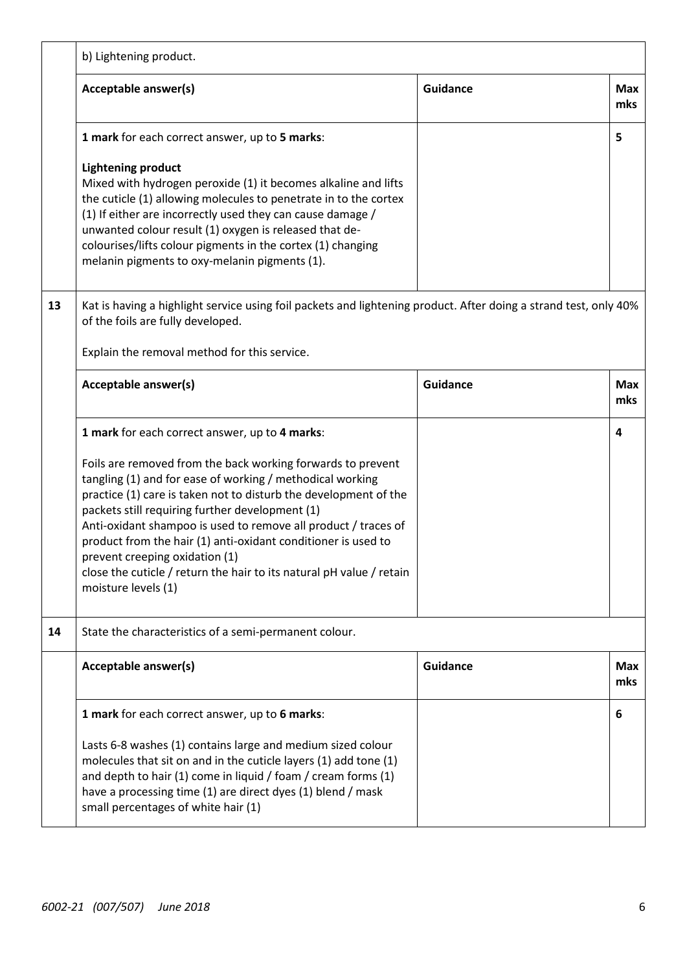|    | b) Lightening product.                                                                                                                                                                                                                                                                                                                                                                                                                                                                                              |                 |                   |
|----|---------------------------------------------------------------------------------------------------------------------------------------------------------------------------------------------------------------------------------------------------------------------------------------------------------------------------------------------------------------------------------------------------------------------------------------------------------------------------------------------------------------------|-----------------|-------------------|
|    | Acceptable answer(s)                                                                                                                                                                                                                                                                                                                                                                                                                                                                                                | <b>Guidance</b> | <b>Max</b><br>mks |
|    | 1 mark for each correct answer, up to 5 marks:                                                                                                                                                                                                                                                                                                                                                                                                                                                                      |                 | 5                 |
|    | <b>Lightening product</b><br>Mixed with hydrogen peroxide (1) it becomes alkaline and lifts<br>the cuticle (1) allowing molecules to penetrate in to the cortex<br>(1) If either are incorrectly used they can cause damage /<br>unwanted colour result (1) oxygen is released that de-<br>colourises/lifts colour pigments in the cortex (1) changing<br>melanin pigments to oxy-melanin pigments (1).                                                                                                             |                 |                   |
| 13 | Kat is having a highlight service using foil packets and lightening product. After doing a strand test, only 40%<br>of the foils are fully developed.                                                                                                                                                                                                                                                                                                                                                               |                 |                   |
|    | Explain the removal method for this service.                                                                                                                                                                                                                                                                                                                                                                                                                                                                        |                 |                   |
|    | Acceptable answer(s)                                                                                                                                                                                                                                                                                                                                                                                                                                                                                                | <b>Guidance</b> | <b>Max</b><br>mks |
|    | 1 mark for each correct answer, up to 4 marks:                                                                                                                                                                                                                                                                                                                                                                                                                                                                      |                 | 4                 |
|    | Foils are removed from the back working forwards to prevent<br>tangling (1) and for ease of working / methodical working<br>practice (1) care is taken not to disturb the development of the<br>packets still requiring further development (1)<br>Anti-oxidant shampoo is used to remove all product / traces of<br>product from the hair (1) anti-oxidant conditioner is used to<br>prevent creeping oxidation (1)<br>close the cuticle / return the hair to its natural pH value / retain<br>moisture levels (1) |                 |                   |
| 14 | State the characteristics of a semi-permanent colour.                                                                                                                                                                                                                                                                                                                                                                                                                                                               |                 |                   |
|    | Acceptable answer(s)                                                                                                                                                                                                                                                                                                                                                                                                                                                                                                | Guidance        | <b>Max</b><br>mks |
|    | 1 mark for each correct answer, up to 6 marks:                                                                                                                                                                                                                                                                                                                                                                                                                                                                      |                 | 6                 |
|    | Lasts 6-8 washes (1) contains large and medium sized colour<br>molecules that sit on and in the cuticle layers (1) add tone (1)<br>and depth to hair (1) come in liquid / foam / cream forms (1)<br>have a processing time (1) are direct dyes (1) blend / mask<br>small percentages of white hair (1)                                                                                                                                                                                                              |                 |                   |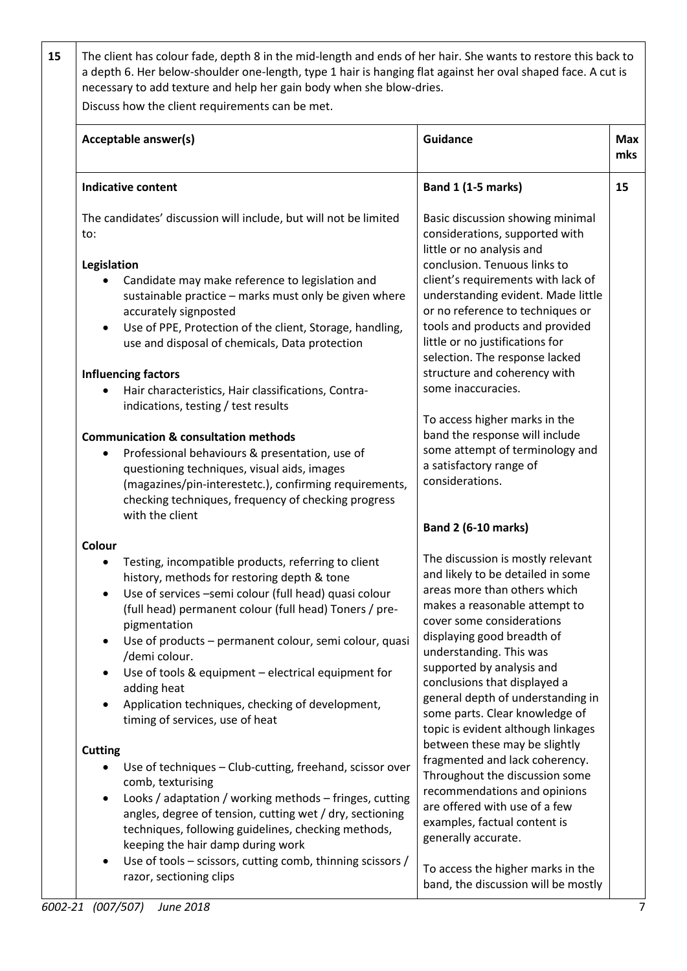**15** The client has colour fade, depth 8 in the mid-length and ends of her hair. She wants to restore this back to a depth 6. Her below-shoulder one-length, type 1 hair is hanging flat against her oval shaped face. A cut is necessary to add texture and help her gain body when she blow-dries.

Discuss how the client requirements can be met.

| Acceptable answer(s)                                                                                                                                                                                                                                                                                                                                                                                                                                                                                                                                                                                                                                                                                                                                                                               | <b>Guidance</b>                                                                                                                                                                                                                                                                                                                                                                                                                                                                                                                                                                                               | <b>Max</b><br>mks |
|----------------------------------------------------------------------------------------------------------------------------------------------------------------------------------------------------------------------------------------------------------------------------------------------------------------------------------------------------------------------------------------------------------------------------------------------------------------------------------------------------------------------------------------------------------------------------------------------------------------------------------------------------------------------------------------------------------------------------------------------------------------------------------------------------|---------------------------------------------------------------------------------------------------------------------------------------------------------------------------------------------------------------------------------------------------------------------------------------------------------------------------------------------------------------------------------------------------------------------------------------------------------------------------------------------------------------------------------------------------------------------------------------------------------------|-------------------|
| <b>Indicative content</b>                                                                                                                                                                                                                                                                                                                                                                                                                                                                                                                                                                                                                                                                                                                                                                          | <b>Band 1 (1-5 marks)</b>                                                                                                                                                                                                                                                                                                                                                                                                                                                                                                                                                                                     | 15                |
| The candidates' discussion will include, but will not be limited<br>to:<br>Legislation<br>Candidate may make reference to legislation and<br>sustainable practice - marks must only be given where<br>accurately signposted<br>Use of PPE, Protection of the client, Storage, handling,<br>use and disposal of chemicals, Data protection<br><b>Influencing factors</b><br>Hair characteristics, Hair classifications, Contra-<br>indications, testing / test results                                                                                                                                                                                                                                                                                                                              | Basic discussion showing minimal<br>considerations, supported with<br>little or no analysis and<br>conclusion. Tenuous links to<br>client's requirements with lack of<br>understanding evident. Made little<br>or no reference to techniques or<br>tools and products and provided<br>little or no justifications for<br>selection. The response lacked<br>structure and coherency with<br>some inaccuracies.                                                                                                                                                                                                 |                   |
| <b>Communication &amp; consultation methods</b><br>Professional behaviours & presentation, use of<br>questioning techniques, visual aids, images<br>(magazines/pin-interestetc.), confirming requirements,<br>checking techniques, frequency of checking progress<br>with the client                                                                                                                                                                                                                                                                                                                                                                                                                                                                                                               | To access higher marks in the<br>band the response will include<br>some attempt of terminology and<br>a satisfactory range of<br>considerations.<br><b>Band 2 (6-10 marks)</b>                                                                                                                                                                                                                                                                                                                                                                                                                                |                   |
| Colour<br>Testing, incompatible products, referring to client<br>history, methods for restoring depth & tone<br>Use of services -semi colour (full head) quasi colour<br>$\bullet$<br>(full head) permanent colour (full head) Toners / pre-<br>pigmentation<br>Use of products - permanent colour, semi colour, quasi<br>/demi colour.<br>Use of tools & equipment - electrical equipment for<br>$\bullet$<br>adding heat<br>Application techniques, checking of development,<br>timing of services, use of heat<br><b>Cutting</b><br>Use of techniques - Club-cutting, freehand, scissor over<br>comb, texturising<br>Looks / adaptation / working methods - fringes, cutting<br>angles, degree of tension, cutting wet / dry, sectioning<br>techniques, following guidelines, checking methods, | The discussion is mostly relevant<br>and likely to be detailed in some<br>areas more than others which<br>makes a reasonable attempt to<br>cover some considerations<br>displaying good breadth of<br>understanding. This was<br>supported by analysis and<br>conclusions that displayed a<br>general depth of understanding in<br>some parts. Clear knowledge of<br>topic is evident although linkages<br>between these may be slightly<br>fragmented and lack coherency.<br>Throughout the discussion some<br>recommendations and opinions<br>are offered with use of a few<br>examples, factual content is |                   |
| keeping the hair damp during work<br>Use of tools - scissors, cutting comb, thinning scissors /<br>$\bullet$<br>razor, sectioning clips                                                                                                                                                                                                                                                                                                                                                                                                                                                                                                                                                                                                                                                            | generally accurate.<br>To access the higher marks in the<br>band, the discussion will be mostly                                                                                                                                                                                                                                                                                                                                                                                                                                                                                                               |                   |